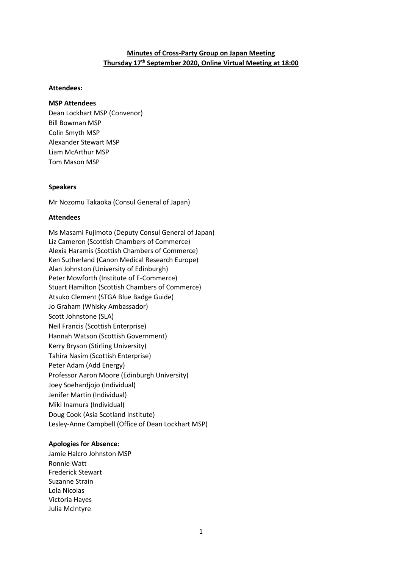# **Minutes of Cross-Party Group on Japan Meeting Thursday 17th September 2020, Online Virtual Meeting at 18:00**

### **Attendees:**

#### **MSP Attendees**

Dean Lockhart MSP (Convenor) Bill Bowman MSP Colin Smyth MSP Alexander Stewart MSP Liam McArthur MSP Tom Mason MSP

#### **Speakers**

Mr Nozomu Takaoka (Consul General of Japan)

#### **Attendees**

Ms Masami Fujimoto (Deputy Consul General of Japan) Liz Cameron (Scottish Chambers of Commerce) Alexia Haramis (Scottish Chambers of Commerce) Ken Sutherland (Canon Medical Research Europe) Alan Johnston (University of Edinburgh) Peter Mowforth (Institute of E-Commerce) Stuart Hamilton (Scottish Chambers of Commerce) Atsuko Clement (STGA Blue Badge Guide) Jo Graham (Whisky Ambassador) Scott Johnstone (SLA) Neil Francis (Scottish Enterprise) Hannah Watson (Scottish Government) Kerry Bryson (Stirling University) Tahira Nasim (Scottish Enterprise) Peter Adam (Add Energy) Professor Aaron Moore (Edinburgh University) Joey Soehardjojo (Individual) Jenifer Martin (Individual) Miki Inamura (Individual) Doug Cook (Asia Scotland Institute) Lesley-Anne Campbell (Office of Dean Lockhart MSP)

### **Apologies for Absence:**

Jamie Halcro Johnston MSP Ronnie Watt Frederick Stewart Suzanne Strain Lola Nicolas Victoria Hayes Julia McIntyre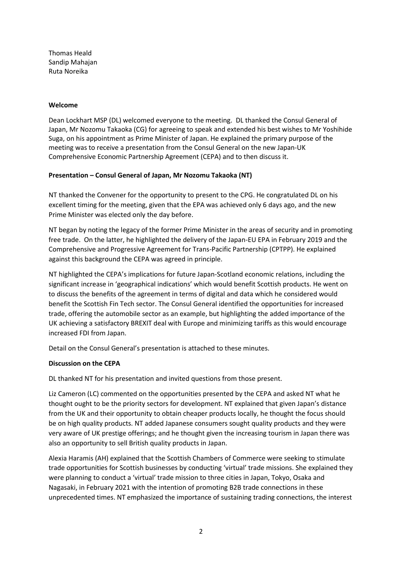Thomas Heald Sandip Mahajan Ruta Noreika

## **Welcome**

Dean Lockhart MSP (DL) welcomed everyone to the meeting. DL thanked the Consul General of Japan, Mr Nozomu Takaoka (CG) for agreeing to speak and extended his best wishes to Mr Yoshihide Suga, on his appointment as Prime Minister of Japan. He explained the primary purpose of the meeting was to receive a presentation from the Consul General on the new Japan-UK Comprehensive Economic Partnership Agreement (CEPA) and to then discuss it.

# **Presentation – Consul General of Japan, Mr Nozomu Takaoka (NT)**

NT thanked the Convener for the opportunity to present to the CPG. He congratulated DL on his excellent timing for the meeting, given that the EPA was achieved only 6 days ago, and the new Prime Minister was elected only the day before.

NT began by noting the legacy of the former Prime Minister in the areas of security and in promoting free trade. On the latter, he highlighted the delivery of the Japan-EU EPA in February 2019 and the Comprehensive and Progressive Agreement for Trans-Pacific Partnership (CPTPP). He explained against this background the CEPA was agreed in principle.

NT highlighted the CEPA's implications for future Japan-Scotland economic relations, including the significant increase in 'geographical indications' which would benefit Scottish products. He went on to discuss the benefits of the agreement in terms of digital and data which he considered would benefit the Scottish Fin Tech sector. The Consul General identified the opportunities for increased trade, offering the automobile sector as an example, but highlighting the added importance of the UK achieving a satisfactory BREXIT deal with Europe and minimizing tariffs as this would encourage increased FDI from Japan.

Detail on the Consul General's presentation is attached to these minutes.

# **Discussion on the CEPA**

DL thanked NT for his presentation and invited questions from those present.

Liz Cameron (LC) commented on the opportunities presented by the CEPA and asked NT what he thought ought to be the priority sectors for development. NT explained that given Japan's distance from the UK and their opportunity to obtain cheaper products locally, he thought the focus should be on high quality products. NT added Japanese consumers sought quality products and they were very aware of UK prestige offerings; and he thought given the increasing tourism in Japan there was also an opportunity to sell British quality products in Japan.

Alexia Haramis (AH) explained that the Scottish Chambers of Commerce were seeking to stimulate trade opportunities for Scottish businesses by conducting 'virtual' trade missions. She explained they were planning to conduct a 'virtual' trade mission to three cities in Japan, Tokyo, Osaka and Nagasaki, in February 2021 with the intention of promoting B2B trade connections in these unprecedented times. NT emphasized the importance of sustaining trading connections, the interest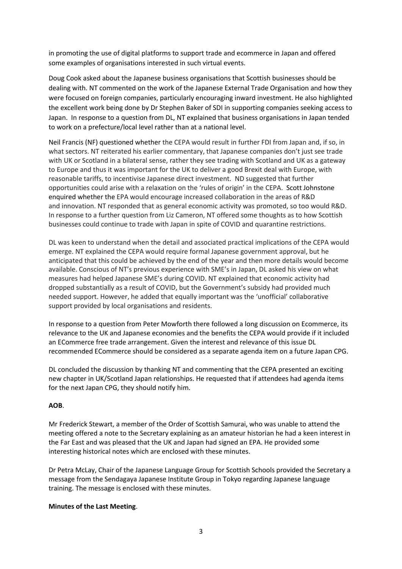in promoting the use of digital platforms to support trade and ecommerce in Japan and offered some examples of organisations interested in such virtual events.

Doug Cook asked about the Japanese business organisations that Scottish businesses should be dealing with. NT commented on the work of the Japanese External Trade Organisation and how they were focused on foreign companies, particularly encouraging inward investment. He also highlighted the excellent work being done by Dr Stephen Baker of SDI in supporting companies seeking access to Japan. In response to a question from DL, NT explained that business organisations in Japan tended to work on a prefecture/local level rather than at a national level.

Neil Francis (NF) questioned whether the CEPA would result in further FDI from Japan and, if so, in what sectors. NT reiterated his earlier commentary, that Japanese companies don't just see trade with UK or Scotland in a bilateral sense, rather they see trading with Scotland and UK as a gateway to Europe and thus it was important for the UK to deliver a good Brexit deal with Europe, with reasonable tariffs, to incentivise Japanese direct investment. ND suggested that further opportunities could arise with a relaxation on the 'rules of origin' in the CEPA. Scott Johnstone enquired whether the EPA would encourage increased collaboration in the areas of R&D and innovation. NT responded that as general economic activity was promoted, so too would R&D. In response to a further question from Liz Cameron, NT offered some thoughts as to how Scottish businesses could continue to trade with Japan in spite of COVID and quarantine restrictions.

DL was keen to understand when the detail and associated practical implications of the CEPA would emerge. NT explained the CEPA would require formal Japanese government approval, but he anticipated that this could be achieved by the end of the year and then more details would become available. Conscious of NT's previous experience with SME's in Japan, DL asked his view on what measures had helped Japanese SME's during COVID. NT explained that economic activity had dropped substantially as a result of COVID, but the Government's subsidy had provided much needed support. However, he added that equally important was the 'unofficial' collaborative support provided by local organisations and residents.

In response to a question from Peter Mowforth there followed a long discussion on Ecommerce, its relevance to the UK and Japanese economies and the benefits the CEPA would provide if it included an ECommerce free trade arrangement. Given the interest and relevance of this issue DL recommended ECommerce should be considered as a separate agenda item on a future Japan CPG.

DL concluded the discussion by thanking NT and commenting that the CEPA presented an exciting new chapter in UK/Scotland Japan relationships. He requested that if attendees had agenda items for the next Japan CPG, they should notify him.

# **AOB**.

Mr Frederick Stewart, a member of the Order of Scottish Samurai, who was unable to attend the meeting offered a note to the Secretary explaining as an amateur historian he had a keen interest in the Far East and was pleased that the UK and Japan had signed an EPA. He provided some interesting historical notes which are enclosed with these minutes.

Dr Petra McLay, Chair of the Japanese Language Group for Scottish Schools provided the Secretary a message from the Sendagaya Japanese Institute Group in Tokyo regarding Japanese language training. The message is enclosed with these minutes.

### **Minutes of the Last Meeting**.